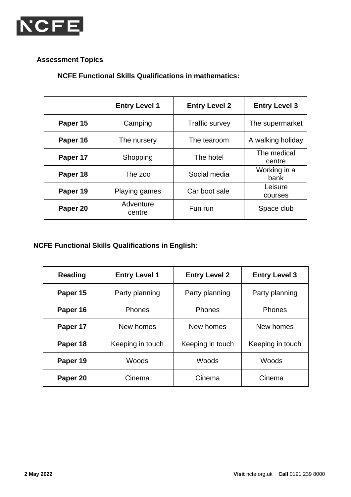

## **Assessment Topics**

**NCFE Functional Skills Qualifications in mathematics:**

|          | <b>Entry Level 1</b> | <b>Entry Level 2</b>  | <b>Entry Level 3</b>  |
|----------|----------------------|-----------------------|-----------------------|
| Paper 15 | Camping              | <b>Traffic survey</b> | The supermarket       |
| Paper 16 | The nursery          | The tearoom           | A walking holiday     |
| Paper 17 | Shopping             | The hotel             | The medical<br>centre |
| Paper 18 | The zoo              | Social media          | Working in a<br>bank  |
| Paper 19 | Playing games        | Car boot sale         | Leisure<br>courses    |
| Paper 20 | Adventure<br>centre  | Fun run               | Space club            |

## **NCFE Functional Skills Qualifications in English:**

| Reading  | <b>Entry Level 1</b> | <b>Entry Level 2</b> | <b>Entry Level 3</b> |
|----------|----------------------|----------------------|----------------------|
| Paper 15 | Party planning       | Party planning       | Party planning       |
| Paper 16 | <b>Phones</b>        | <b>Phones</b>        | <b>Phones</b>        |
| Paper 17 | New homes            | New homes            | New homes            |
| Paper 18 | Keeping in touch     | Keeping in touch     | Keeping in touch     |
| Paper 19 | Woods                | Woods                | Woods                |
| Paper 20 | Cinema               | Cinema               | Cinema               |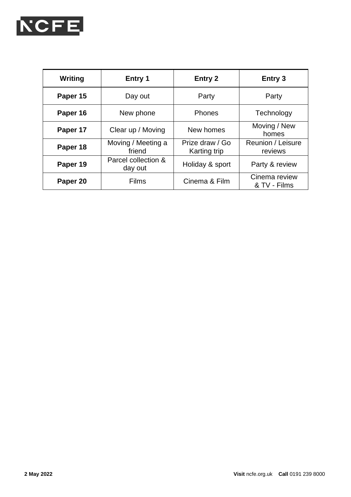

| Writing  | Entry 1                        | Entry 2                                | Entry 3                       |
|----------|--------------------------------|----------------------------------------|-------------------------------|
| Paper 15 | Day out                        | Party                                  | Party                         |
| Paper 16 | New phone                      | <b>Phones</b>                          | Technology                    |
| Paper 17 | Clear up / Moving              | New homes                              | Moving / New<br>homes         |
| Paper 18 | Moving / Meeting a<br>friend   | Prize draw / Go<br><b>Karting trip</b> | Reunion / Leisure<br>reviews  |
| Paper 19 | Parcel collection &<br>day out | Holiday & sport                        | Party & review                |
| Paper 20 | <b>Films</b>                   | Cinema & Film                          | Cinema review<br>& TV - Films |